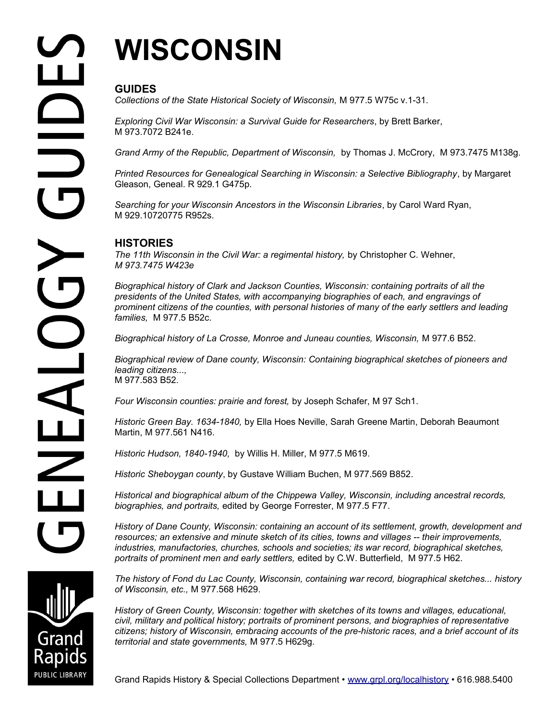# **WISCONSIN**

## **GUIDES**

*Collections of the State Historical Society of Wisconsin,* M 977.5 W75c v.1-31.

*Exploring Civil War Wisconsin: a Survival Guide for Researchers*, by Brett Barker, M 973.7072 B241e.

*Grand Army of the Republic, Department of Wisconsin,* by Thomas J. McCrory, M 973.7475 M138g.

*Printed Resources for Genealogical Searching in Wisconsin: a Selective Bibliography*, by Margaret Gleason, Geneal. R 929.1 G475p.

*Searching for your Wisconsin Ancestors in the Wisconsin Libraries*, by Carol Ward Ryan, M 929.10720775 R952s.

## **HISTORIES**

*The 11th Wisconsin in the Civil War: a regimental history,* by Christopher C. Wehner, *M 973.7475 W423e* 

*Biographical history of Clark and Jackson Counties, Wisconsin: containing portraits of all the presidents of the United States, with accompanying biographies of each, and engravings of prominent citizens of the counties, with personal histories of many of the early settlers and leading families,* M 977.5 B52c.

*Biographical history of La Crosse, Monroe and Juneau counties, Wisconsin,* M 977.6 B52.

*Biographical review of Dane county, Wisconsin: Containing biographical sketches of pioneers and leading citizens...,* M 977.583 B52.

*Four Wisconsin counties: prairie and forest,* by Joseph Schafer, M 97 Sch1.

*Historic Green Bay. 1634-1840,* by Ella Hoes Neville, Sarah Greene Martin, Deborah Beaumont Martin, M 977.561 N416.

*Historic Hudson, 1840-1940,* by Willis H. Miller, M 977.5 M619.

*Historic Sheboygan county*, by Gustave William Buchen, M 977.569 B852.

*Historical and biographical album of the Chippewa Valley, Wisconsin, including ancestral records, biographies, and portraits,* edited by George Forrester, M 977.5 F77.

*History of Dane County, Wisconsin: containing an account of its settlement, growth, development and resources; an extensive and minute sketch of its cities, towns and villages -- their improvements, industries, manufactories, churches, schools and societies; its war record, biographical sketches, portraits of prominent men and early settlers,* edited by C.W. Butterfield, M 977.5 H62.

*The history of Fond du Lac County, Wisconsin, containing war record, biographical sketches... history of Wisconsin, etc.,* M 977.568 H629.

*History of Green County, Wisconsin: together with sketches of its towns and villages, educational, civil, military and political history; portraits of prominent persons, and biographies of representative citizens; history of Wisconsin, embracing accounts of the pre-historic races, and a brief account of its territorial and state governments,* M 977.5 H629g.



Grand Rapids History & Special Collections Department • [www.grpl.org/localhistory](http://www.grpl.org/localhistory) • 616.988.5400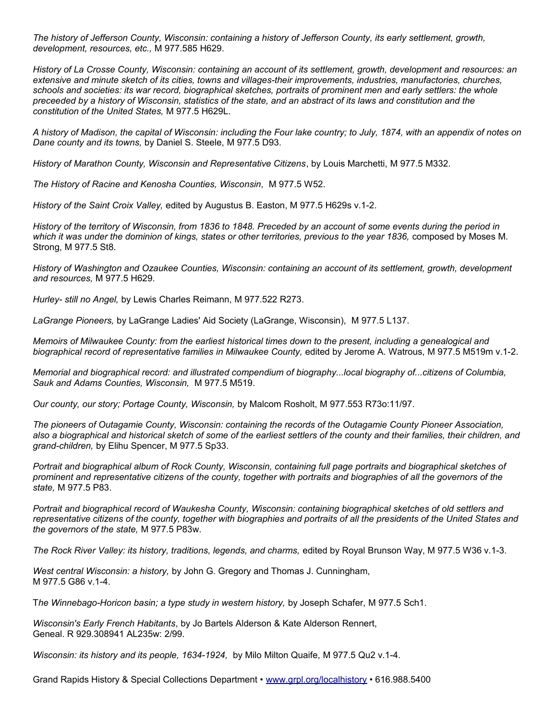*The history of Jefferson County, Wisconsin: containing a history of Jefferson County, its early settlement, growth, development, resources, etc.,* M 977.585 H629.

*History of La Crosse County, Wisconsin: containing an account of its settlement, growth, development and resources: an extensive and minute sketch of its cities, towns and villages-their improvements, industries, manufactories, churches, schools and societies: its war record, biographical sketches, portraits of prominent men and early settlers: the whole preceeded by a history of Wisconsin, statistics of the state, and an abstract of its laws and constitution and the constitution of the United States,* M 977.5 H629L.

*A history of Madison, the capital of Wisconsin: including the Four lake country; to July, 1874, with an appendix of notes on Dane county and its towns,* by Daniel S. Steele, M 977.5 D93.

*History of Marathon County, Wisconsin and Representative Citizens*, by Louis Marchetti, M 977.5 M332.

*The History of Racine and Kenosha Counties, Wisconsin,* M 977.5 W52.

*History of the Saint Croix Valley,* edited by Augustus B. Easton, M 977.5 H629s v.1-2.

*History of the territory of Wisconsin, from 1836 to 1848. Preceded by an account of some events during the period in which it was under the dominion of kings, states or other territories, previous to the year 1836,* composed by Moses M. Strong, M 977.5 St8.

*History of Washington and Ozaukee Counties, Wisconsin: containing an account of its settlement, growth, development and resources,* M 977.5 H629.

*Hurley- still no Angel,* by Lewis Charles Reimann, M 977.522 R273.

*LaGrange Pioneers,* by LaGrange Ladies' Aid Society (LaGrange, Wisconsin), M 977.5 L137.

*Memoirs of Milwaukee County: from the earliest historical times down to the present, including a genealogical and*  biographical record of representative families in Milwaukee County, edited by Jerome A. Watrous, M 977.5 M519m v.1-2.

*Memorial and biographical record: and illustrated compendium of biography...local biography of...citizens of Columbia, Sauk and Adams Counties, Wisconsin,* M 977.5 M519.

*Our county, our story; Portage County, Wisconsin,* by Malcom Rosholt, M 977.553 R73o:11/97.

*The pioneers of Outagamie County, Wisconsin: containing the records of the Outagamie County Pioneer Association, also a biographical and historical sketch of some of the earliest settlers of the county and their families, their children, and grand-children,* by Elihu Spencer, M 977.5 Sp33.

*Portrait and biographical album of Rock County, Wisconsin, containing full page portraits and biographical sketches of prominent and representative citizens of the county, together with portraits and biographies of all the governors of the state,* M 977.5 P83.

*Portrait and biographical record of Waukesha County, Wisconsin: containing biographical sketches of old settlers and representative citizens of the county, together with biographies and portraits of all the presidents of the United States and the governors of the state,* M 977.5 P83w.

*The Rock River Valley: its history, traditions, legends, and charms,* edited by Royal Brunson Way, M 977.5 W36 v.1-3.

*West central Wisconsin: a history,* by John G. Gregory and Thomas J. Cunningham, M 977.5 G86 v.1-4.

T*he Winnebago-Horicon basin; a type study in western history,* by Joseph Schafer, M 977.5 Sch1.

*Wisconsin's Early French Habitants*, by Jo Bartels Alderson & Kate Alderson Rennert, Geneal. R 929.308941 AL235w: 2/99.

*Wisconsin: its history and its people, 1634-1924,* by Milo Milton Quaife, M 977.5 Qu2 v.1-4.

Grand Rapids History & Special Collections Department • [www.grpl.org/localhistory](http://www.grpl.org/localhistory) • 616.988.5400